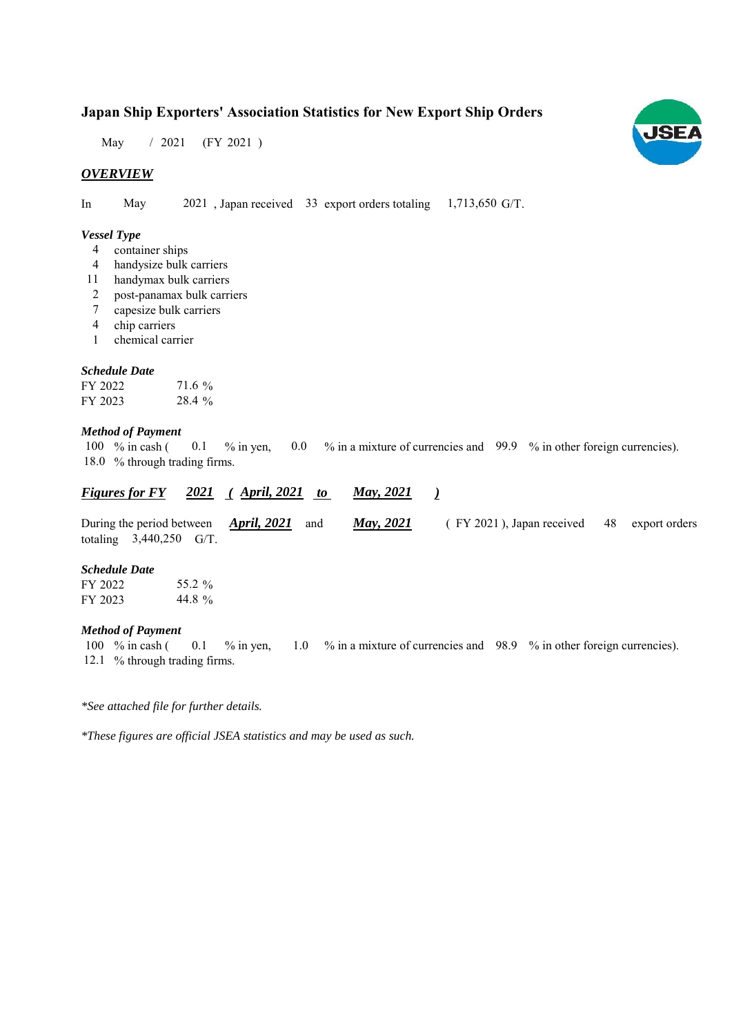# **Japan Ship Exporters' Association Statistics for New Export Ship Orders**

 $/ 2021$  (FY 2021) May

# *OVERVIEW*

In May  $2021$ , Japan received 33 export orders totaling 1,713,650 G/T.

#### *Vessel Type*

- container ships 4
- handysize bulk carriers 4
- handymax bulk carriers 11
- post-panamax bulk carriers 2
- capesize bulk carriers 7
- chip carriers 4
- chemical carrier 1

#### *Schedule Date*

| FY 2022 | 71.6 % |
|---------|--------|
| FY 2023 | 28.4 % |

### *Method of Payment*

% in cash ( $\ 0.1\$  % in yen,  $\ 0.0\$  % in a mixture of currencies and  $\ 99.9\$  % in other foreign currencies). 18.0 % through trading firms. 0.1 100 % in cash (

#### *Figures for FY* 2021 (*April, 2021 to May, 2021* ) *May, 2021*

During the period between **April, 2021** and **May, 2021** (FY 2021), Japan received 48 export orders totaling  $3,440,250$  G/T. 48 *May, 2021 April, 2021*

#### *Schedule Date*

| FY 2022 | 55.2 % |
|---------|--------|
| FY 2023 | 44.8%  |

#### *Method of Payment*

% in cash ( $\ 0.1\$  % in yen,  $\ 1.0\$  % in a mixture of currencies and  $\ 98.9\$  % in other foreign currencies). 12.1 % through trading firms. 100  $%$  in cash ( 0.1

*\*See attached file for further details.*

*\*These figures are official JSEA statistics and may be used as such.*

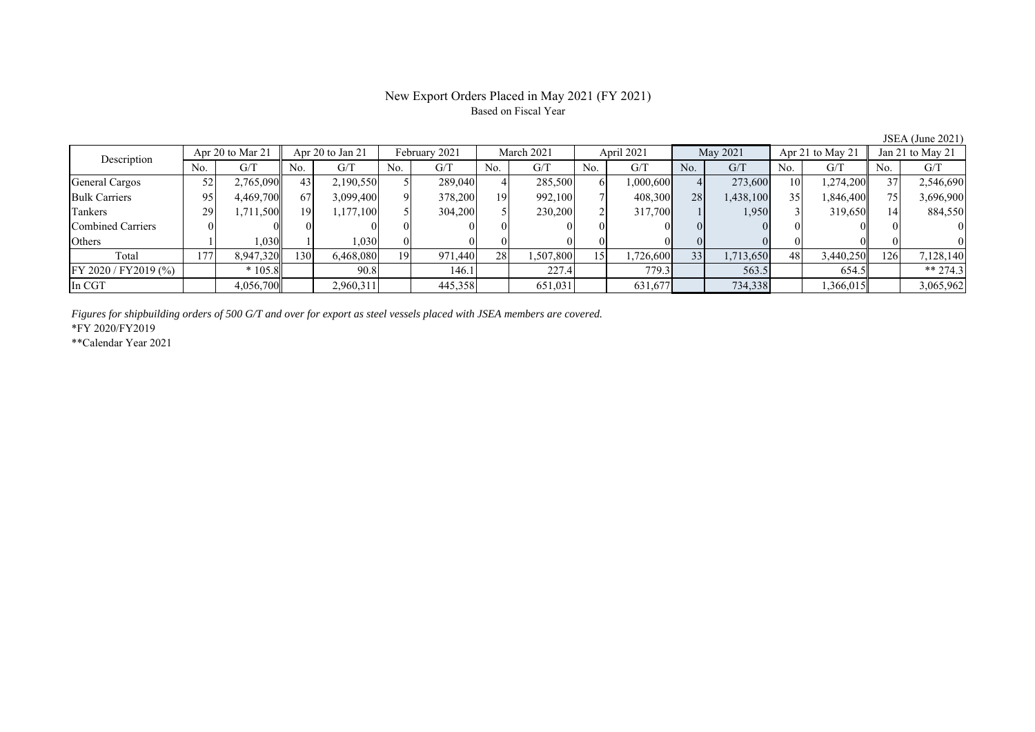### New Export Orders Placed in May 2021 (FY 2021) Based on Fiscal Year

No. G/T No. G/T No. G/T No. G/T No. G/T No. G/T No. G/T No. G/T General Cargos 52 2,765,090 43 2,190,550 5 289,040 4 285,500 6 1,000,600 4 273,600 10 1,274,200 37 2,546,690 Bulk Carriers | 95| 4,469,700|| 67| 3,099,400| 9| 378,200| 19| 992,100| 7| 408,300| 28| 1,438,100| 35| 1,846,400|| 75| 3,696,900 Tankers | 29 1,711,500 19 1,177,100 5 304,200 5 230,200 2 317,700 1 1,950 3 319,650 14 884,550 Combined Carriers 0 0 0 0 0 0 0 0 0 0 0 0 0 0 0 0 Others | 1 | 1,030 || 1 | 1,030 || 0 || 0 || 0 || 0 || 0 || 0 || 0 || 0 Total 177 8,947,320 130 6,468,080 19 971,440 28 1,507,800 15 1,726,600 33 1,713,650 48 3,440,250 126 7,128,140 FY 2020 / FY2019 (%) \* 105.8 90.8 146.1 227.4 779.3 563.5 654.5 \*\* 274.3 In CGT | | 4,056,700|| | 2,960,311| | 445,358| | 651,031| | 631,677| | 734,338| | 1,366,015|| | 3,065,962 Description Apr 20 to Mar 21 Apr 20 to Jan 21 February 2021 March 2021<br>No. 6/T No. 6/T No. 6/T No. 6/T No. 6/T April 2021 May 2021 Apr 21 to May 21 Jan 21 to May 21

*Figures for shipbuilding orders of 500 G/T and over for export as steel vessels placed with JSEA members are covered.*

\*FY 2020/FY2019

\*\*Calendar Year 2021

JSEA (June 2021)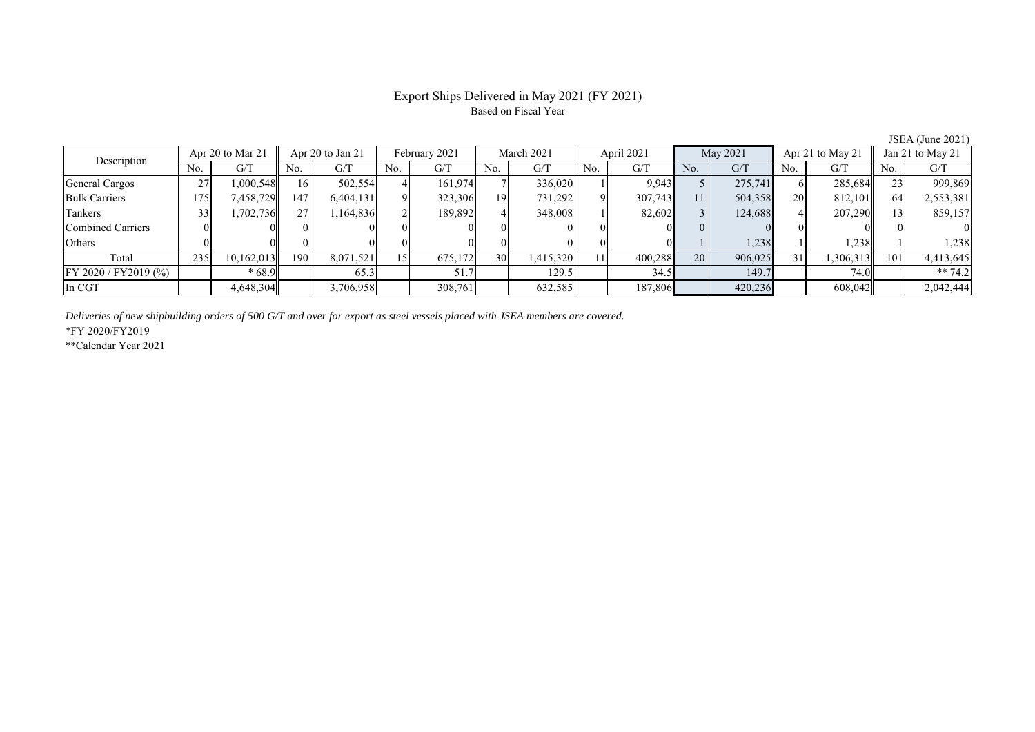## Export Ships Delivered in May 2021 (FY 2021) Based on Fiscal Year

No. G/T No. G/T No. G/T No. G/T No. G/T No. G/T No. G/T No. G/T General Cargos | 27| 1,000,548|| 16| 502,554| 4| 161,974| 7| 336,020| 1| 9,943| 5| 275,741| 6| 285,684|| 23| 999,869 Bulk Carriers 19 | 175 | 7,458,729 | 147 | 6,404,131 | 9 | 323,306 | 19 | 731,292 | 9 | 307,743 | 11 | 504,358 | 20 | 812,101 | 64 | 2,553,381 Tankers | 33| 1,702,736|| 27| 1,164,836| 2| 189,892| 4| 348,008| 1| 82,602| 3| 124,688| 4| 207,290|| 13| 859,157 Combined Carriers 0 0 0 0 0 0 0 0 0 0 0 0 0 0 0 0 Others ( 0 0 0 0 0 0 0 0 0 0 0 0 0 1 1,238 1 1,238 1 1,238 Total 235 10,162,013 190 8,071,521 15 675,172 30 1,415,320 11 400,288 20 906,025 31 1,306,313 101 4,413,645 FY 2020 / FY2019 (%) | \* 68.9 | 65.3 | 51.7 | 129.5 | 34.5 | 149.7 | 74.0 | \*\* 74.2 In CGT | | 4,648,304|| | 3,706,958| | 308,761| | 632,585| | 187,806| | 420,236| | 608,042|| | 2,042,444 Apr 20 to Mar 21 Apr 20 to Jan 21 February 2021 March 2021 Description April 2021 May 2021 Apr 21 to May 21 Jan 21 to May 21

*Deliveries of new shipbuilding orders of 500 G/T and over for export as steel vessels placed with JSEA members are covered.*

\*FY 2020/FY2019

\*\*Calendar Year 2021

JSEA (June 2021)